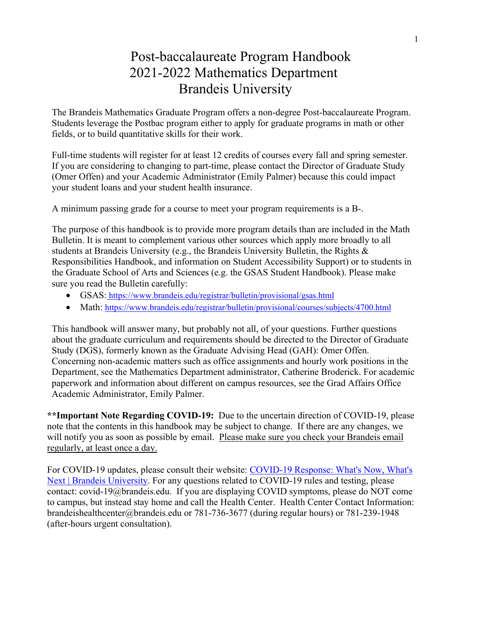# Post-baccalaureate Program Handbook 2021-2022 Mathematics Department Brandeis University

The Brandeis Mathematics Graduate Program offers a non-degree Post-baccalaureate Program. Students leverage the Postbac program either to apply for graduate programs in math or other fields, or to build quantitative skills for their work.

Full-time students will register for at least 12 credits of courses every fall and spring semester. If you are considering to changing to part-time, please contact the Director of Graduate Study (Omer Offen) and your Academic Administrator (Emily Palmer) because this could impact your student loans and your student health insurance.

A minimum passing grade for a course to meet your program requirements is a B-.

The purpose of this handbook is to provide more program details than are included in the Math Bulletin. It is meant to complement various other sources which apply more broadly to all students at Brandeis University (e.g., the Brandeis University Bulletin, the Rights & Responsibilities Handbook, and information on Student Accessibility Support) or to students in the Graduate School of Arts and Sciences (e.g. the GSAS Student Handbook). Please make sure you read the Bulletin carefully:

- GSAS: https://www.brandeis.edu/registrar/bulletin/provisional/gsas.html
- Math: https://www.brandeis.edu/registrar/bulletin/provisional/courses/subjects/4700.html

This handbook will answer many, but probably not all, of your questions. Further questions about the graduate curriculum and requirements should be directed to the Director of Graduate Study (DGS), formerly known as the Graduate Advising Head (GAH): Omer Offen. Concerning non-academic matters such as office assignments and hourly work positions in the Department, see the Mathematics Department administrator, Catherine Broderick. For academic paperwork and information about different on campus resources, see the Grad Affairs Office Academic Administrator, Emily Palmer.

**\*\*Important Note Regarding COVID-19:** Due to the uncertain direction of COVID-19, please note that the contents in this handbook may be subject to change. If there are any changes, we will notify you as soon as possible by email. Please make sure you check your Brandeis email regularly, at least once a day.

For COVID-19 updates, please consult their website: COVID-19 Response: What's Now, What's Next | Brandeis University. For any questions related to COVID-19 rules and testing, please contact: covid-19@brandeis.edu. If you are displaying COVID symptoms, please do NOT come to campus, but instead stay home and call the Health Center. Health Center Contact Information: brandeishealthcenter@brandeis.edu or 781-736-3677 (during regular hours) or 781-239-1948 (after-hours urgent consultation).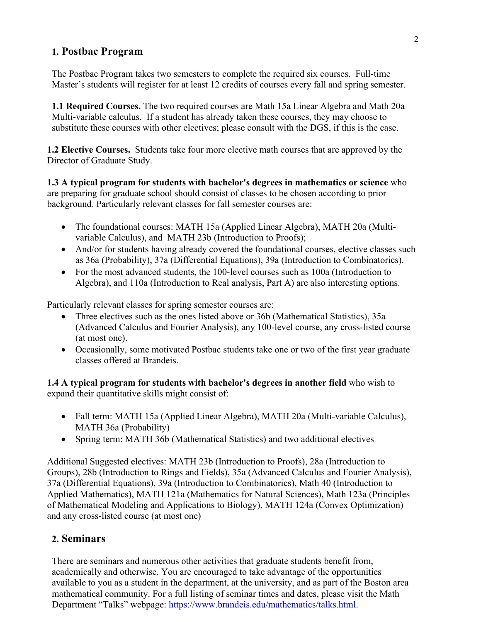### **1. Postbac Program**

The Postbac Program takes two semesters to complete the required six courses. Full-time Master's students will register for at least 12 credits of courses every fall and spring semester.

**1.1 Required Courses.** The two required courses are Math 15a Linear Algebra and Math 20a Multi-variable calculus. If a student has already taken these courses, they may choose to substitute these courses with other electives; please consult with the DGS, if this is the case.

**1.2 Elective Courses.** Students take four more elective math courses that are approved by the Director of Graduate Study.

**1.3 A typical program for students with bachelor's degrees in mathematics or science** who are preparing for graduate school should consist of classes to be chosen according to prior background. Particularly relevant classes for fall semester courses are:

- The foundational courses: MATH 15a (Applied Linear Algebra), MATH 20a (Multivariable Calculus), and MATH 23b (Introduction to Proofs);
- And/or for students having already covered the foundational courses, elective classes such as 36a (Probability), 37a (Differential Equations), 39a (Introduction to Combinatorics).
- For the most advanced students, the 100-level courses such as 100a (Introduction to Algebra), and 110a (Introduction to Real analysis, Part A) are also interesting options.

Particularly relevant classes for spring semester courses are:

- Three electives such as the ones listed above or 36b (Mathematical Statistics), 35a (Advanced Calculus and Fourier Analysis), any 100-level course, any cross-listed course (at most one).
- Occasionally, some motivated Postbac students take one or two of the first year graduate classes offered at Brandeis.

**1.4 A typical program for students with bachelor's degrees in another field** who wish to expand their quantitative skills might consist of:

- Fall term: MATH 15a (Applied Linear Algebra), MATH 20a (Multi-variable Calculus), MATH 36a (Probability)
- Spring term: MATH 36b (Mathematical Statistics) and two additional electives

Additional Suggested electives: MATH 23b (Introduction to Proofs), 28a (Introduction to Groups), 28b (Introduction to Rings and Fields), 35a (Advanced Calculus and Fourier Analysis), 37a (Differential Equations), 39a (Introduction to Combinatorics), Math 40 (Introduction to Applied Mathematics), MATH 121a (Mathematics for Natural Sciences), Math 123a (Principles of Mathematical Modeling and Applications to Biology), MATH 124a (Convex Optimization) and any cross-listed course (at most one)

### **2. Seminars**

There are seminars and numerous other activities that graduate students benefit from, academically and otherwise. You are encouraged to take advantage of the opportunities available to you as a student in the department, at the university, and as part of the Boston area mathematical community. For a full listing of seminar times and dates, please visit the Math Department "Talks" webpage: https://www.brandeis.edu/mathematics/talks.html.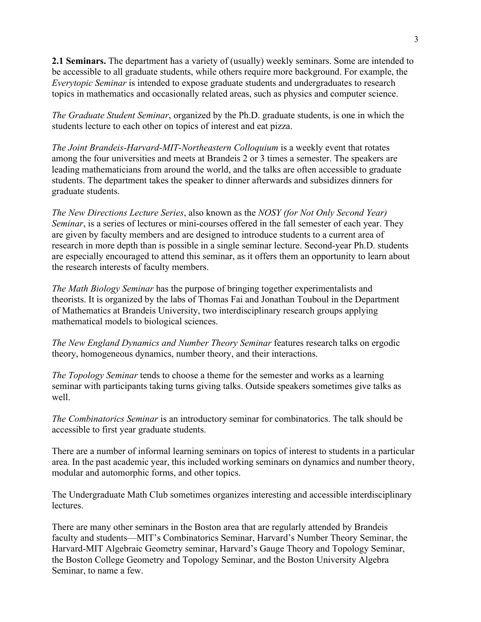**2.1 Seminars.** The department has a variety of (usually) weekly seminars. Some are intended to be accessible to all graduate students, while others require more background. For example, the *Everytopic Seminar* is intended to expose graduate students and undergraduates to research topics in mathematics and occasionally related areas, such as physics and computer science.

*The Graduate Student Seminar*, organized by the Ph.D. graduate students, is one in which the students lecture to each other on topics of interest and eat pizza.

 *The Joint Brandeis-Harvard-MIT-Northeastern Colloquium* is a weekly event that rotates among the four universities and meets at Brandeis 2 or 3 times a semester. The speakers are leading mathematicians from around the world, and the talks are often accessible to graduate students. The department takes the speaker to dinner afterwards and subsidizes dinners for graduate students.

*The New Directions Lecture Series*, also known as the *NOSY (for Not Only Second Year) Seminar*, is a series of lectures or mini-courses offered in the fall semester of each year. They are given by faculty members and are designed to introduce students to a current area of research in more depth than is possible in a single seminar lecture. Second-year Ph.D. students are especially encouraged to attend this seminar, as it offers them an opportunity to learn about the research interests of faculty members.

 *The Math Biology Seminar* has the purpose of bringing together experimentalists and theorists. It is organized by the labs of Thomas Fai and Jonathan Touboul in the Department of Mathematics at Brandeis University, two interdisciplinary research groups applying mathematical models to biological sciences.

 *The New England Dynamics and Number Theory Seminar* features research talks on ergodic theory, homogeneous dynamics, number theory, and their interactions.

 *The Topology Seminar* tends to choose a theme for the semester and works as a learning seminar with participants taking turns giving talks. Outside speakers sometimes give talks as well.

 *The Combinatorics Seminar* is an introductory seminar for combinatorics. The talk should be accessible to first year graduate students.

There are a number of informal learning seminars on topics of interest to students in a particular area. In the past academic year, this included working seminars on dynamics and number theory, modular and automorphic forms, and other topics.

The Undergraduate Math Club sometimes organizes interesting and accessible interdisciplinary lectures.

 There are many other seminars in the Boston area that are regularly attended by Brandeis faculty and students—MIT's Combinatorics Seminar, Harvard's Number Theory Seminar, the Harvard-MIT Algebraic Geometry seminar, Harvard's Gauge Theory and Topology Seminar, the Boston College Geometry and Topology Seminar, and the Boston University Algebra Seminar, to name a few.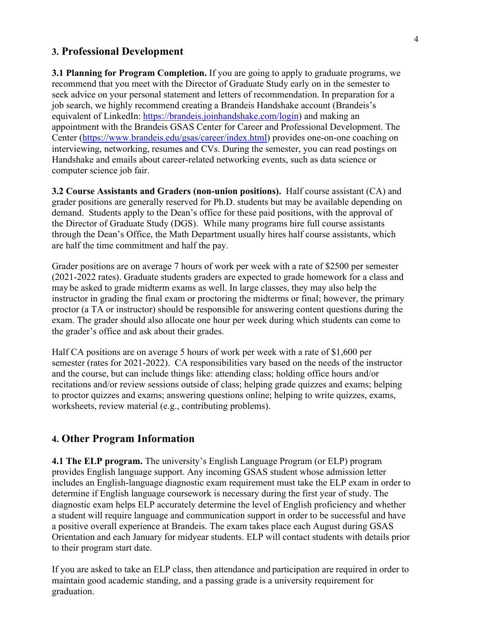#### **3. Professional Development**

**3.1 Planning for Program Completion.** If you are going to apply to graduate programs, we recommend that you meet with the Director of Graduate Study early on in the semester to seek advice on your personal statement and letters of recommendation. In preparation for a job search, we highly recommend creating a Brandeis Handshake account (Brandeis's equivalent of LinkedIn: https://brandeis.joinhandshake.com/login) and making an appointment with the Brandeis GSAS Center for Career and Professional Development. The Center (https://www.brandeis.edu/gsas/career/index.html) provides one-on-one coaching on interviewing, networking, resumes and CVs. During the semester, you can read postings on Handshake and emails about career-related networking events, such as data science or computer science job fair.

**3.2 Course Assistants and Graders (non-union positions).** Half course assistant (CA) and grader positions are generally reserved for Ph.D. students but may be available depending on demand. Students apply to the Dean's office for these paid positions, with the approval of the Director of Graduate Study (DGS). While many programs hire full course assistants through the Dean's Office, the Math Department usually hires half course assistants, which are half the time commitment and half the pay.

Grader positions are on average 7 hours of work per week with a rate of \$2500 per semester (2021-2022 rates). Graduate students graders are expected to grade homework for a class and may be asked to grade midterm exams as well. In large classes, they may also help the instructor in grading the final exam or proctoring the midterms or final; however, the primary proctor (a TA or instructor) should be responsible for answering content questions during the exam. The grader should also allocate one hour per week during which students can come to the grader's office and ask about their grades.

Half CA positions are on average 5 hours of work per week with a rate of \$1,600 per semester (rates for 2021-2022). CA responsibilities vary based on the needs of the instructor and the course, but can include things like: attending class; holding office hours and/or recitations and/or review sessions outside of class; helping grade quizzes and exams; helping to proctor quizzes and exams; answering questions online; helping to write quizzes, exams, worksheets, review material (e.g., contributing problems).

#### **4. Other Program Information**

**4.1 The ELP program.** The university's English Language Program (or ELP) program provides English language support. Any incoming GSAS student whose admission letter includes an English-language diagnostic exam requirement must take the ELP exam in order to determine if English language coursework is necessary during the first year of study. The diagnostic exam helps ELP accurately determine the level of English proficiency and whether a student will require language and communication support in order to be successful and have a positive overall experience at Brandeis. The exam takes place each August during GSAS Orientation and each January for midyear students. ELP will contact students with details prior to their program start date.

If you are asked to take an ELP class, then attendance and participation are required in order to maintain good academic standing, and a passing grade is a university requirement for graduation.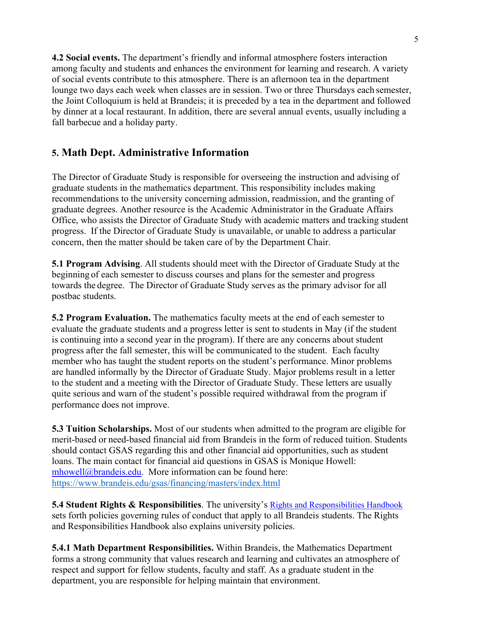**4.2 Social events.** The department's friendly and informal atmosphere fosters interaction among faculty and students and enhances the environment for learning and research. A variety of social events contribute to this atmosphere. There is an afternoon tea in the department lounge two days each week when classes are in session. Two or three Thursdays each semester, the Joint Colloquium is held at Brandeis; it is preceded by a tea in the department and followed by dinner at a local restaurant. In addition, there are several annual events, usually including a fall barbecue and a holiday party.

# **5. Math Dept. Administrative Information**

The Director of Graduate Study is responsible for overseeing the instruction and advising of graduate students in the mathematics department. This responsibility includes making recommendations to the university concerning admission, readmission, and the granting of graduate degrees. Another resource is the Academic Administrator in the Graduate Affairs Office, who assists the Director of Graduate Study with academic matters and tracking student progress. If the Director of Graduate Study is unavailable, or unable to address a particular concern, then the matter should be taken care of by the Department Chair.

**5.1 Program Advising**. All students should meet with the Director of Graduate Study at the beginning of each semester to discuss courses and plans for the semester and progress towards the degree. The Director of Graduate Study serves as the primary advisor for all postbac students.

**5.2 Program Evaluation.** The mathematics faculty meets at the end of each semester to evaluate the graduate students and a progress letter is sent to students in May (if the student is continuing into a second year in the program). If there are any concerns about student progress after the fall semester, this will be communicated to the student. Each faculty member who has taught the student reports on the student's performance. Minor problems are handled informally by the Director of Graduate Study. Major problems result in a letter to the student and a meeting with the Director of Graduate Study. These letters are usually quite serious and warn of the student's possible required withdrawal from the program if performance does not improve.

**5.3 Tuition Scholarships.** Most of our students when admitted to the program are eligible for merit-based or need-based financial aid from Brandeis in the form of reduced tuition. Students should contact GSAS regarding this and other financial aid opportunities, such as student loans. The main contact for financial aid questions in GSAS is Monique Howell: mhowell@brandeis.edu. More information can be found here: https://www.brandeis.edu/gsas/financing/masters/index.html

**5.4 Student Rights & Responsibilities**. The university's Rights and Responsibilities Handbook sets forth policies governing rules of conduct that apply to all Brandeis students. The Rights and Responsibilities Handbook also explains university policies.

**5.4.1 Math Department Responsibilities.** Within Brandeis, the Mathematics Department forms a strong community that values research and learning and cultivates an atmosphere of respect and support for fellow students, faculty and staff. As a graduate student in the department, you are responsible for helping maintain that environment.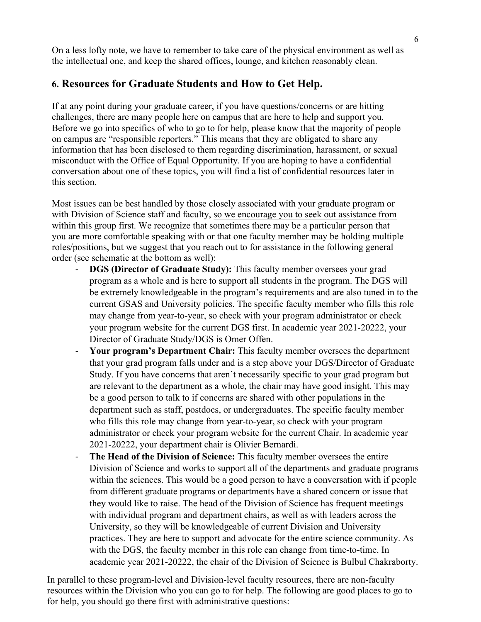On a less lofty note, we have to remember to take care of the physical environment as well as the intellectual one, and keep the shared offices, lounge, and kitchen reasonably clean.

## **6. Resources for Graduate Students and How to Get Help.**

If at any point during your graduate career, if you have questions/concerns or are hitting challenges, there are many people here on campus that are here to help and support you. Before we go into specifics of who to go to for help, please know that the majority of people on campus are "responsible reporters." This means that they are obligated to share any information that has been disclosed to them regarding discrimination, harassment, or sexual misconduct with the Office of Equal Opportunity. If you are hoping to have a confidential conversation about one of these topics, you will find a list of confidential resources later in this section.

Most issues can be best handled by those closely associated with your graduate program or with Division of Science staff and faculty, so we encourage you to seek out assistance from within this group first. We recognize that sometimes there may be a particular person that you are more comfortable speaking with or that one faculty member may be holding multiple roles/positions, but we suggest that you reach out to for assistance in the following general order (see schematic at the bottom as well):

- **DGS (Director of Graduate Study):** This faculty member oversees your grad program as a whole and is here to support all students in the program. The DGS will be extremely knowledgeable in the program's requirements and are also tuned in to the current GSAS and University policies. The specific faculty member who fills this role may change from year-to-year, so check with your program administrator or check your program website for the current DGS first. In academic year 2021-20222, your Director of Graduate Study/DGS is Omer Offen.
- Your program's Department Chair: This faculty member oversees the department that your grad program falls under and is a step above your DGS/Director of Graduate Study. If you have concerns that aren't necessarily specific to your grad program but are relevant to the department as a whole, the chair may have good insight. This may be a good person to talk to if concerns are shared with other populations in the department such as staff, postdocs, or undergraduates. The specific faculty member who fills this role may change from year-to-year, so check with your program administrator or check your program website for the current Chair. In academic year 2021-20222, your department chair is Olivier Bernardi.
- The Head of the Division of Science: This faculty member oversees the entire Division of Science and works to support all of the departments and graduate programs within the sciences. This would be a good person to have a conversation with if people from different graduate programs or departments have a shared concern or issue that they would like to raise. The head of the Division of Science has frequent meetings with individual program and department chairs, as well as with leaders across the University, so they will be knowledgeable of current Division and University practices. They are here to support and advocate for the entire science community. As with the DGS, the faculty member in this role can change from time-to-time. In academic year 2021-20222, the chair of the Division of Science is Bulbul Chakraborty.

In parallel to these program-level and Division-level faculty resources, there are non-faculty resources within the Division who you can go to for help. The following are good places to go to for help, you should go there first with administrative questions: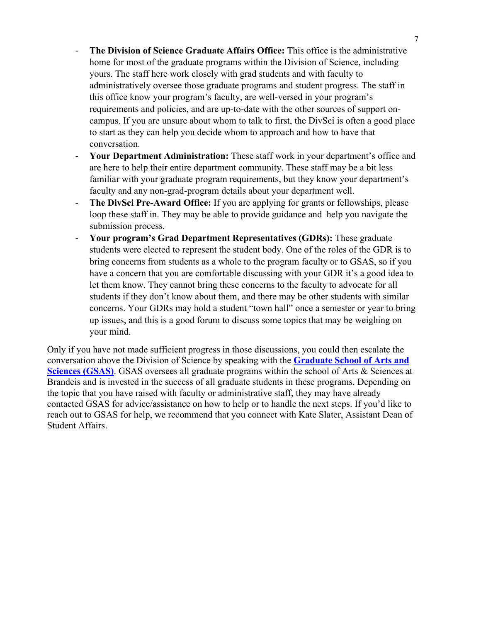7

- **The Division of Science Graduate Affairs Office:** This office is the administrative home for most of the graduate programs within the Division of Science, including yours. The staff here work closely with grad students and with faculty to administratively oversee those graduate programs and student progress. The staff in this office know your program's faculty, are well-versed in your program's requirements and policies, and are up-to-date with the other sources of support oncampus. If you are unsure about whom to talk to first, the DivSci is often a good place to start as they can help you decide whom to approach and how to have that conversation.
- **Your Department Administration:** These staff work in your department's office and are here to help their entire department community. These staff may be a bit less familiar with your graduate program requirements, but they know your department's faculty and any non-grad-program details about your department well.
- The DivSci Pre-Award Office: If you are applying for grants or fellowships, please loop these staff in. They may be able to provide guidance and help you navigate the submission process.
- **Your program's Grad Department Representatives (GDRs):** These graduate students were elected to represent the student body. One of the roles of the GDR is to bring concerns from students as a whole to the program faculty or to GSAS, so if you have a concern that you are comfortable discussing with your GDR it's a good idea to let them know. They cannot bring these concerns to the faculty to advocate for all students if they don't know about them, and there may be other students with similar concerns. Your GDRs may hold a student "town hall" once a semester or year to bring up issues, and this is a good forum to discuss some topics that may be weighing on your mind.

Only if you have not made sufficient progress in those discussions, you could then escalate the conversation above the Division of Science by speaking with the **Graduate School of Arts and Sciences (GSAS).** GSAS oversees all graduate programs within the school of Arts & Sciences at Brandeis and is invested in the success of all graduate students in these programs. Depending on the topic that you have raised with faculty or administrative staff, they may have already contacted GSAS for advice/assistance on how to help or to handle the next steps. If you'd like to reach out to GSAS for help, we recommend that you connect with Kate Slater, Assistant Dean of Student Affairs.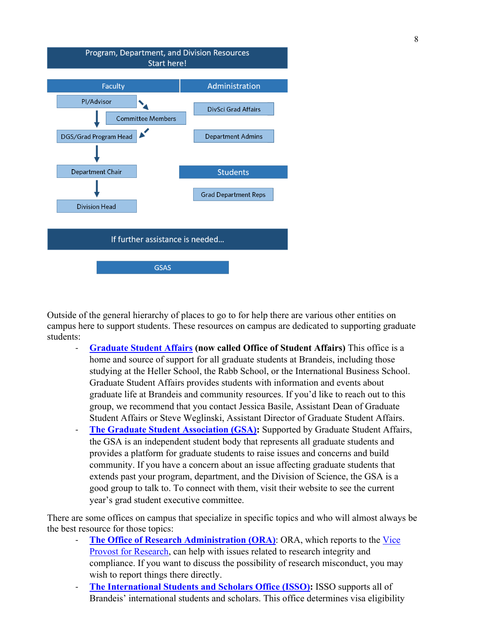

Outside of the general hierarchy of places to go to for help there are various other entities on campus here to support students. These resources on campus are dedicated to supporting graduate students:

- **Graduate Student Affairs (now called Office of Student Affairs)** This office is a home and source of support for all graduate students at Brandeis, including those studying at the Heller School, the Rabb School, or the International Business School. Graduate Student Affairs provides students with information and events about graduate life at Brandeis and community resources. If you'd like to reach out to this group, we recommend that you contact Jessica Basile, Assistant Dean of Graduate Student Affairs or Steve Weglinski, Assistant Director of Graduate Student Affairs.
- **The Graduate Student Association (GSA):** Supported by Graduate Student Affairs, the GSA is an independent student body that represents all graduate students and provides a platform for graduate students to raise issues and concerns and build community. If you have a concern about an issue affecting graduate students that extends past your program, department, and the Division of Science, the GSA is a good group to talk to. To connect with them, visit their website to see the current year's grad student executive committee.

There are some offices on campus that specialize in specific topics and who will almost always be the best resource for those topics:

- The Office of Research Administration (ORA): ORA, which reports to the Vice **Provost for Research**, can help with issues related to research integrity and compliance. If you want to discuss the possibility of research misconduct, you may wish to report things there directly.
- The International Students and Scholars Office (ISSO): ISSO supports all of Brandeis' international students and scholars. This office determines visa eligibility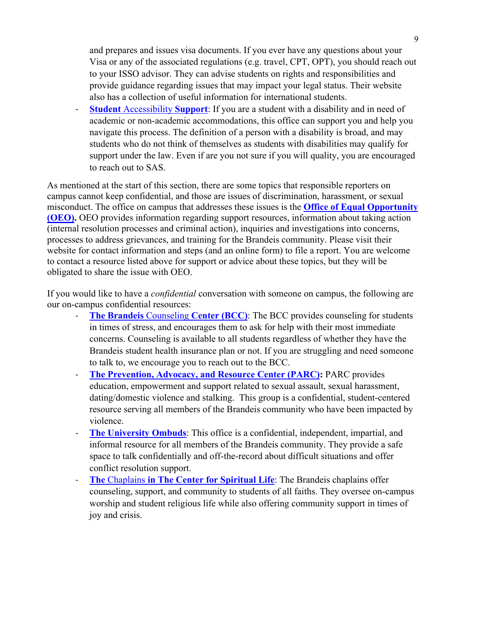and prepares and issues visa documents. If you ever have any questions about your Visa or any of the associated regulations (e.g. travel, CPT, OPT), you should reach out to your ISSO advisor. They can advise students on rights and responsibilities and provide guidance regarding issues that may impact your legal status. Their website also has a collection of useful information for international students.

**Student** Accessibility **Support**: If you are a student with a disability and in need of academic or non-academic accommodations, this office can support you and help you navigate this process. The definition of a person with a disability is broad, and may students who do not think of themselves as students with disabilities may qualify for support under the law. Even if are you not sure if you will quality, you are encouraged to reach out to SAS.

As mentioned at the start of this section, there are some topics that responsible reporters on campus cannot keep confidential, and those are issues of discrimination, harassment, or sexual misconduct. The office on campus that addresses these issues is the **Office of Equal Opportunity (OEO).** OEO provides information regarding support resources, information about taking action (internal resolution processes and criminal action), inquiries and investigations into concerns, processes to address grievances, and training for the Brandeis community. Please visit their website for contact information and steps (and an online form) to file a report. You are welcome to contact a resource listed above for support or advice about these topics, but they will be obligated to share the issue with OEO.

If you would like to have a *confidential* conversation with someone on campus, the following are our on-campus confidential resources:

- **The Brandeis Counseling Center (BCC):** The BCC provides counseling for students in times of stress, and encourages them to ask for help with their most immediate concerns. Counseling is available to all students regardless of whether they have the Brandeis student health insurance plan or not. If you are struggling and need someone to talk to, we encourage you to reach out to the BCC.
- **The Prevention, Advocacy, and Resource Center (PARC):** PARC provides education, empowerment and support related to sexual assault, sexual harassment, dating/domestic violence and stalking. This group is a confidential, student-centered resource serving all members of the Brandeis community who have been impacted by violence.
- **The University Ombuds**: This office is a confidential, independent, impartial, and informal resource for all members of the Brandeis community. They provide a safe space to talk confidentially and off-the-record about difficult situations and offer conflict resolution support.
- **The** Chaplains **in The Center for Spiritual Life**: The Brandeis chaplains offer counseling, support, and community to students of all faiths. They oversee on-campus worship and student religious life while also offering community support in times of joy and crisis.